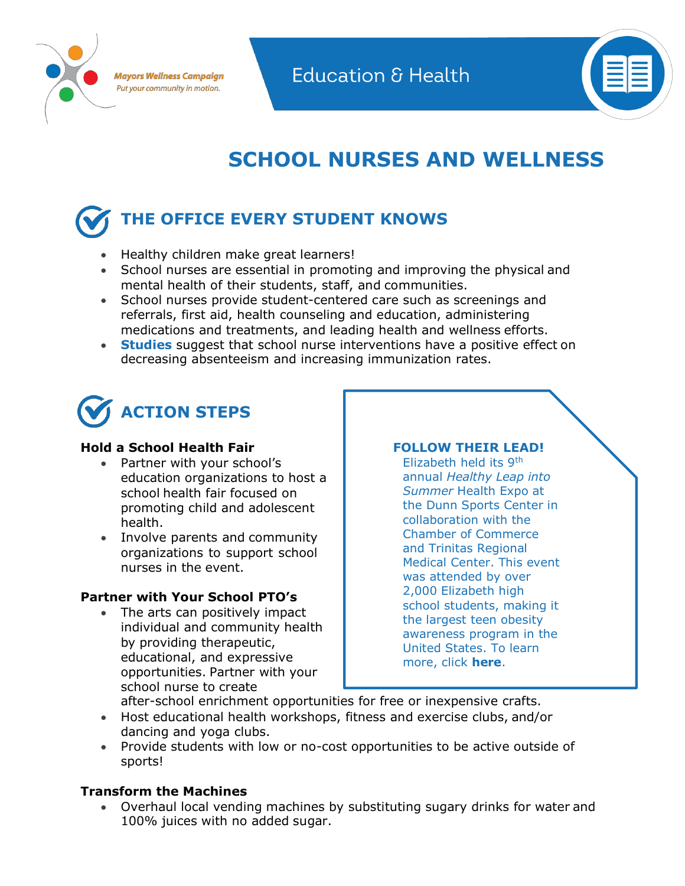



## **SCHOOL NURSES AND WELLNESS**

# **THE OFFICE EVERY STUDENT KNOWS**

- Healthy children make great learners!
- School nurses are essential in promoting and improving the physical and mental health of their students, staff, and communities.
- School nurses provide student-centered care such as screenings and referrals, first aid, health counseling and education, administering medications and treatments, and leading health and wellness efforts.
- **Studies** suggest that school nurse interventions have a positive effect on decreasing absenteeism and increasing immunization rates.



#### **Hold a School Health Fair**

- Partner with your school's education organizations to host a school health fair focused on promoting child and adolescent health.
- Involve parents and community organizations to support school nurses in the event.

### **Partner with Your School PTO's**

The arts can positively impact individual and community health by providing therapeutic, educational, and expressive opportunities. Partner with your school nurse to create

#### **FOLLOW THEIR LEAD!**

Elizabeth held its 9th annual *Healthy Leap into Summer* Health Expo at the Dunn Sports Center in collaboration with the Chamber of Commerce and Trinitas Regional Medical Center. This event was attended by over 2,000 Elizabeth high school students, making it the largest teen obesity awareness program in the United States. To learn more, click **[here](https://www.epsnj.org/site/default.aspx?PageType=3&DomainID=4&ModuleInstanceID=7312&ViewID=6446EE88-D30C-497E-9316-3F8874B3E108&RenderLoc=0&FlexDataID=32322&PageID=1)**.

- after-school enrichment opportunities for free or inexpensive crafts.
- Host educational health workshops, fitness and exercise clubs, and/or dancing and yoga clubs.
- Provide students with low or no-cost opportunities to be active outside of sports!

#### **Transform the Machines**

• Overhaul local vending machines by substituting sugary drinks for water and 100% juices with no added sugar.